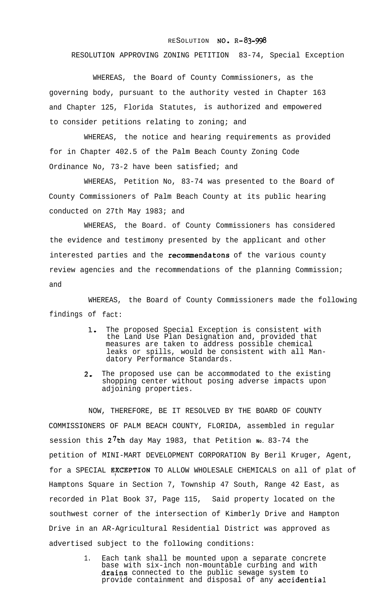## **RESOLUTION NO. R-83-998**

RESOLUTION APPROVING ZONING PETITION 83-74, Special Exception

WHEREAS, the Board of County Commissioners, as the governing body, pursuant to the authority vested in Chapter 163 and Chapter 125, Florida Statutes, is authorized and empowered to consider petitions relating to zoning; and

WHEREAS, the notice and hearing requirements as provided for in Chapter 402.5 of the Palm Beach County Zoning Code Ordinance No, 73-2 have been satisfied; and

WHEREAS, Petition No, 83-74 was presented to the Board of County Commissioners of Palm Beach County at its public hearing conducted on 27th May 1983; and

WHEREAS, the Board. of County Commissioners has considered the evidence and testimony presented by the applicant and other interested parties and the recommendatons of the various county review agencies and the recommendations of the planning Commission; and

WHEREAS, the Board of County Commissioners made the following findings of fact:

- 1. The proposed Special Exception is consistent with the Land Use Plan Designation and, provided that measures are taken to address possible chemical leaks or spills, would be consistent with all Mandatory Performance Standards.
- $2 -$ The proposed use can be accommodated to the existing shopping center without posing adverse impacts upon adjoining properties.

NOW, THEREFORE, BE IT RESOLVED BY THE BOARD OF COUNTY COMMISSIONERS OF PALM BEACH COUNTY, FLORIDA, assembled in regular session this 2.7th day May 1983, that Petition **<sup>N</sup>O.** 83-74 the petition of MINI-MART DEVELOPMENT CORPORATION By Beril Kruger, Agent, for a SPECIAL EXCEPTION TO ALLOW WHOLESALE CHEMICALS on all of plat of Hamptons Square in Section 7, Township 47 South, Range 42 East, as recorded in Plat Book 37, Page 115, Said property located on the southwest corner of the intersection of Kimberly Drive and Hampton Drive in an AR-Agricultural Residential District was approved as advertised subject to the following conditions:

> 1. Each tank shall be mounted upon a separate concrete base with six-inch non-mountable curbing and with drains connected to the public sewage system to provide containment and disposal of any accidential